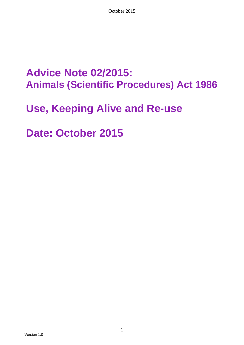## **Advice Note 02/2015: Animals (Scientific Procedures) Act 1986**

## **Use, Keeping Alive and Re-use**

**Date: October 2015**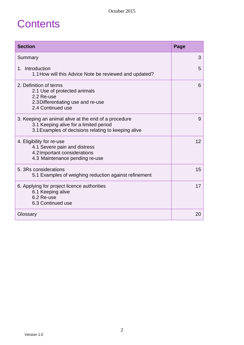# **Contents**

| <b>Section</b>                                                                                                                                        | Page |  |
|-------------------------------------------------------------------------------------------------------------------------------------------------------|------|--|
| Summary                                                                                                                                               | 3    |  |
| 1. Introduction<br>1.1 How will this Advice Note be reviewed and updated?                                                                             | 5    |  |
| 2. Definition of terms<br>2.1 Use of protected animals<br>2.2 Re-use<br>2.3 Differentiating use and re-use<br>2.4 Continued use                       | 6    |  |
| 3. Keeping an animal alive at the end of a procedure<br>3.1 Keeping alive for a limited period<br>3.1 Examples of decisions relating to keeping alive | 9    |  |
| 4. Eligibility for re-use<br>4.1 Severe pain and distress<br>4.2 Important considerations<br>4.3 Maintenance pending re-use                           | 12   |  |
| 5. 3Rs considerations<br>5.1 Examples of weighing reduction against refinement                                                                        | 15   |  |
| 6. Applying for project licence authorities<br>6.1 Keeping alive<br>6.2 Re-use<br>6.3 Continued use                                                   |      |  |
| Glossary                                                                                                                                              | 20   |  |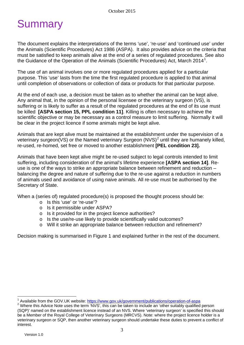# **Summary**

The document explains the interpretations of the terms 'use', 're-use' and 'continued use' under the Animals (Scientific Procedures) Act 1986 (ASPA). It also provides advice on the criteria that must be satisfied to keep animals alive at the end of a series of regulated procedures. See also the Guidance of the Operation of the Animals (Scientific Procedures) Act, March 20[1](#page-2-0)4<sup>1</sup>.

The use of an animal involves one or more regulated procedures applied for a particular purpose. This 'use' lasts from the time the first regulated procedure is applied to that animal until completion of observations or collection of data or products for that particular purpose.

At the end of each use, a decision must be taken as to whether the animal can be kept alive. Any animal that, in the opinion of the personal licensee or the veterinary surgeon (VS), is suffering or is likely to suffer as a result of the regulated procedures at the end of its use must be killed **[ASPA section 15, PPL condition 11]**. Killing is often necessary to achieve the scientific objective or may be necessary as a control measure to limit suffering. Normally it will be clear in the project licence if some animals might be kept alive.

Animals that are kept alive must be maintained at the establishment under the supervision of a veterinary surgeon(VS) or the Named veterinary Surgeon (NVS)<sup>[2](#page-2-1)</sup> until they are humanely killed, re-used, re-homed, set free or moved to another establishment **[PEL condition 23].**

Animals that have been kept alive might be re-used subject to legal controls intended to limit suffering, including consideration of the animal's lifetime experience **[ASPA section 14]**. Reuse is one of the ways to strike an appropriate balance between refinement and reduction – balancing the degree and nature of suffering due to the re-use against a reduction in numbers of animals used and avoidance of using naive animals. All re-use must be authorised by the Secretary of State.

When a (series of) regulated procedure(s) is proposed the thought process should be:

- o Is this 'use' or 're-use'?
- o Is it permissible under ASPA?
- o Is it provided for in the project licence authorities?
- o Is the use/re-use likely to provide scientifically valid outcomes?
- o Will it strike an appropriate balance between reduction and refinement?

Decision making is summarised in Figure 1 and explained further in the rest of the document.

<span id="page-2-1"></span><span id="page-2-0"></span><sup>&</sup>lt;sup>1</sup> Available from the GOV.UK website:  $\frac{https://www.gov.uk/government/publications/operation-of-aspa}{https://www.gov.uk/government/publications/operation-of-aspa}$ <br><sup>2</sup> Where this Advice Note uses the term 'NVS', this can be taken to include an 'other suitably qualified person (SQP)' named on the establishment licence instead of an NVS. Where 'veterinary surgeon' is specified this should be a Member of the Royal College of Veterinary Surgeons (MRCVS). Note: where the project licence holder is a veterinary surgeon or SQP, then another veterinary surgeon should undertake these duties to prevent a conflict of interest.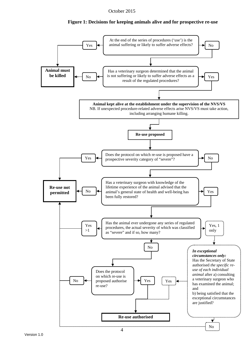October 2015

### **Figure 1: Decisions for keeping animals alive and for prospective re-use**

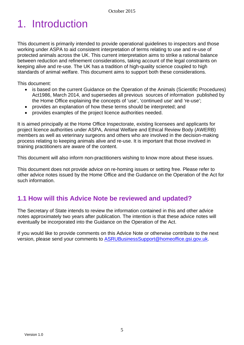# 1. Introduction

This document is primarily intended to provide operational guidelines to inspectors and those working under ASPA to aid consistent interpretation of terms relating to use and re-use of protected animals across the UK. This current interpretation aims to strike a rational balance between reduction and refinement considerations, taking account of the legal constraints on keeping alive and re-use. The UK has a tradition of high-quality science coupled to high standards of animal welfare. This document aims to support both these considerations.

This document:

- is based on the current Guidance on the Operation of the Animals (Scientific Procedures) Act1986, March 2014, and supersedes all previous sources of information published by the Home Office explaining the concepts of 'use', 'continued use' and 're-use';
- provides an explanation of how these terms should be interpreted; and
- provides examples of the project licence authorities needed.

It is aimed principally at the Home Office Inspectorate, existing licensees and applicants for project licence authorities under ASPA, Animal Welfare and Ethical Review Body (AWERB) members as well as veterinary surgeons and others who are involved in the decision-making process relating to keeping animals alive and re-use. It is important that those involved in training practitioners are aware of the content.

This document will also inform non-practitioners wishing to know more about these issues.

This document does not provide advice on re-homing issues or setting free. Please refer to other advice notes issued by the Home Office and the Guidance on the Operation of the Act for such information.

## **1.1 How will this Advice Note be reviewed and updated?**

The Secretary of State intends to review the information contained in this and other advice notes approximately two years after publication. The intention is that these advice notes will eventually be incorporated into the Guidance on the Operation of the Act.

If you would like to provide comments on this Advice Note or otherwise contribute to the next version, please send your comments to [ASRUBusinessSupport@homeoffice.gsi.gov.uk.](mailto:ASRUBusinessSupport@homeoffice.gsi.gov.uk)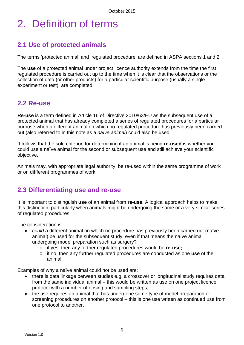# 2. Definition of terms

## **2.1 Use of protected animals**

The terms 'protected animal' and 'regulated procedure' are defined in ASPA sections 1 and 2.

The **use** of a protected animal under project licence authority extends from the time the first regulated procedure is carried out up to the time when it is clear that the observations or the collection of data (or other products) for a particular scientific purpose (usually a single experiment or test), are completed.

### **2.2 Re-use**

**Re-use** is a term defined in Article 16 of Directive 2010/63/EU as the subsequent use of a protected animal that has already completed a series of regulated procedures for a particular purpose when a different animal on which no regulated procedure has previously been carried out (also referred to in this note as a *naïve animal*) could also be used.

It follows that the sole criterion for determining if an animal is being **re-used** is whether you could use a naïve animal for the second or subsequent use and still achieve your scientific objective.

Animals may, with appropriate legal authority, be re-used within the same programme of work or on diffferent programmes of work.

## **2.3 Differentiating use and re-use**

It is important to distinguish **use** of an animal from **re-use**. A logical approach helps to make this distinction, particularly when animals might be undergoing the same or a very similar series of regulated procedures.

The consideration is:

- *could* a different animal on which no procedure has previously been carried out (naïve animal) be used for the subsequent study, even if that means the naïve animal undergoing model preparation such as surgery?
	- o if yes, then any further regulated procedures would be **re-use;**
	- o if no, then any further regulated procedures are conducted as one **use** of the animal.

Examples of why a naïve animal could not be used are:

- there is data linkage between studies e.g. a crossover or longitudinal study requires data from the same individual animal – this would be written as use on one project licence protocol with a number of dosing and sampling steps;
- the use requires an animal that has undergone some type of model preparation or screening procedures on another protocol – this is one use written as continued use from one protocol to another.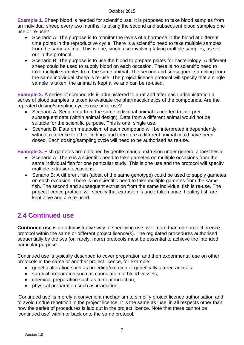**Example 1.** Sheep blood is needed for scientific use. It is proposed to take blood samples from an individual sheep every two months. Is taking the second and subsequent blood samples one use or re-use?

- Scenario A: The purpose is to monitor the levels of a hormone in the blood at different time points in the reproductive cycle. There is a scientific need to take multiple samples from the same animal. This is one, single use involving taking multiple samples, as set out in the protocol.
- Scenario B: The purpose is to use the blood to prepare plates for bacteriology. A different sheep could be used to supply blood on each occasion. There is no scientific need to take multiple samples from the same animal. The second and subsequent sampling from the same individual sheep is re-use. The project licence protocol will specify that a single sample is taken, the animal is kept alive and can be re-used.

**Example 2.** A series of compounds is administered to a rat and after each administration a series of blood samples is taken to evaluate the pharmacokinetics of the compounds. Are the repeated dosing/sampling cycles use or re-use?

- Scenario A: Serial data from the same individual animal is needed to interpret subsequent data (within animal design). Data from a different animal would not be suitable for the scientific purpose. This is one, single use.
- Scenario B: Data on metabolism of each compound will be interpreted independently, without reference to other findings and therefore a different animal could have been dosed. Each dosing/sampling cycle will need to be authorised as re-use.

**Example 3.** Fish gametes are obtained by gentle manual extrusion under general anaesthesia.

- Scenario A: There is a scientific need to take gametes on multiple occasions from the same individual fish for one particular study. This is one use and the protocol will specify multiple extrusion occasions.
- Senario B: A different fish (albeit of the same genotype) could be used to supply gametes on each occasion. There is no scientific need to take multiple gametes from the same fish. The second and subsequent extrusion from the same individual fish is re-use. The project licence protocol will specify that extrusion is undertaken once, healthy fish are kept alive and are re-used.

## **2.4 Continued use**

**Continued use** is an administrative way of specifying use over more than one project licence protocol within the same or different project licence(s). The regulated procedures authorised sequentially by the two (or, rarely, more) protocols must be essential to achieve the intended particular purpose.

Continued use is typically described to cover preparation and then experimental use on other protocols in the same or another project licence, for example:

- genetic alteration such as breeding/creation of genetically altered animals;
- surgical preparation such as cannulation of blood vessels;
- chemical preparation such as tumour induction;
- physical preparation such as irradiation.

'Continued use' is merely a convenient mechanism to simplify project licence authorisation and to avoid undue repetition in the project licence. It is the same as 'use' in all respects other than how the series of procedures is laid out in the project licence. Note that there cannot be 'continued use' within or back onto the same protocol.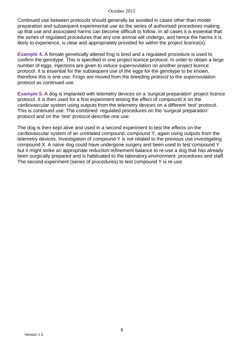Continued use between protocols should generally be avoided in cases other than model preparation and subsequent experimental use as the series of authorised procedures making up that use and associated harms can become difficult to follow. In all cases it is essential that the series of regulated procedures that any one animal will undergo, and hence the harms it is likely to experience, is clear and appropriately provided for within the project licence(s).

**Example 4.** A female genetically altered frog is bred and a regulated procedure is used to confirm the genotype. This is specified in one project licence protocol. In order to obtain a large number of eggs, injections are given to induce superovulation on another project licence protocol. It is essential for the subsequent use of the eggs for the genotype to be known, therefore this is one use. Frogs are moved from the breeding protocol to the superovulation protocol as continued use.

**Example 5.** A dog is implanted with telemetry devices on a 'surgical preparation' project licence protocol. It is then used for a first experiment testing the effect of compound X on the cardiovascular system using outputs from the telemetry devices on a different 'test' protocol. This is continued use. The combined regulated procedures on the 'surgical preparation' protocol and on the 'test' protocol describe one use.

The dog is then kept alive and used in a second experiment to test the effects on the cardiovascular system of an unrelated compound, compound Y, again using outputs from the telemetry devices. Investigation of compound Y is not related to the previous use investigating compound X. A naïve dog could have undergone surgery and been used to test compound Y but it might strike an appropriate reduction:refinement balance to re-use a dog that has already been surgically prepared and is habituated to the laboratory environment, procedures and staff. The second experiment (series of procedures) to test compound Y is re-use.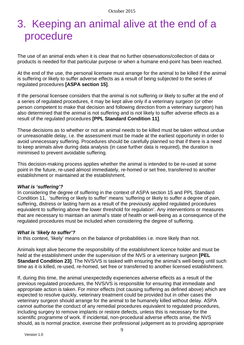## 3. Keeping an animal alive at the end of a procedure

The use of an animal ends when it is clear that no further observations/collection of data or products is needed for that particular purpose or when a humane end-point has been reached.

At the end of the use, the personal licensee must arrange for the animal to be killed if the animal is suffering or likely to suffer adverse effects as a result of being subjected to the series of regulated procedures **[ASPA section 15]**.

If the personal licensee considers that the animal is not suffering or likely to suffer at the end of a series of regulated procedures, it may be kept alive only if a veterinary surgeon (or other person competent to make that decision and following direction from a veterinary surgeon) has also determined that the animal is not suffering and is not likely to suffer adverse effects as a result of the regulated procedures **[PPL Standard Condition 11]**.

These decisions as to whether or not an animal needs to be killed must be taken without undue or unreasonable delay, i.e. the assessment must be made at the earliest opportunity in order to avoid unnecessary suffering. Procedures should be carefully planned so that if there is a need to keep animals alive during data analysis (in case further data is required), the duration is minimised to prevent avoidable suffering.

This decision-making process applies whether the animal is intended to be re-used at some point in the future, re-used almost immediately, re-homed or set free, transferred to another establishment or maintained at the establishment.

### *What is 'suffering'?*

In considering the degree of suffering in the context of ASPA section 15 and PPL Standard Condition 11, 'suffering or likely to suffer' means 'suffering or likely to suffer a degree of pain, suffering, distress or lasting harm as a result of the previously applied regulated procedures equivalent to suffering above the lower threshold for regulation'. Any interventions or measures that are necessary to maintain an animal's state of health or well-being as a consequence of the regulated procedures must be included when considering the degree of suffering.

### *What is 'likely to suffer'?*

In this context, 'likely' means on the balance of probabilities i.e. more likely than not.

Animals kept alive become the responsibility of the establishment licence holder and must be held at the establishment under the supervision of the NVS or a veterinary surgeon **[PEL Standard Condition 23]**. The NVS/VS is tasked with ensuring the animal's well-being until such time as it is killed, re-used, re-homed, set free or transferred to another licensed establishment.

If, during this time, the animal unexpectedly experiences adverse effects as a result of the previous regulated procedures, the NVS/VS is responsible for ensuring that immediate and appropriate action is taken. For minor effects (not causing suffering as defined above) which are expected to resolve quickly, veterinary treatment could be provided but in other cases the veterinary surgeon should arrange for the animal to be humanely killed without delay. ASPA cannot authorise the conduct of any remedial procedures equivalent to regulated procedures, including surgery to remove implants or restore defects, unless this is necessary for the scientific programme of work. If incidental, non-procedural adverse effects arise, the NVS should, as is normal practice, exercise their professional judgement as to providing appropriate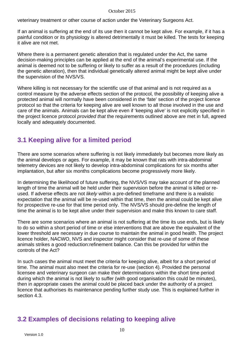veterinary treatment or other course of action under the Veterinary Surgeons Act.

If an animal is suffering at the end of its use then it cannot be kept alive. For example, if it has a painful condition or its physiology is altered detrimentally it must be killed. The tests for keeping it alive are not met.

Where there is a permanent genetic alteration that is regulated under the Act, the same decision-making principles can be applied at the end of the animal's experimental use. If the animal is deemed not to be suffering or likely to suffer as a result of the procedures (including the genetic alteration), then that individual genetically altered animal might be kept alive under the supervision of the NVS/VS.

Where killing is not necessary for the scientific use of that animal and is not required as a control measure by the adverse effects section of the protocol, the possibility of keeping alive a protected animal will normally have been considered in the 'fate' section of the project licence protocol so that the criteria for keeping alive are well known to all those involved in the use and care of the animals. Animals can be kept alive even if 'keeping alive' is not explicitly specified in the project licence protocol *provided that* the requirements outlined above are met in full, agreed locally and adequately documented.

## **3.1 Keeping alive for a limited period**

There are some scenarios where suffering is not likely immediately but becomes more likely as the animal develops or ages. For example, it may be known that rats with intra-abdominal telemetry devices are not likely to develop intra-abdominal complications for six months after implantation, but after six months complications become progressively more likely.

In determining the likelihood of future suffering, the NVS/VS may take account of the planned length of time the animal will be held under their supervision before the animal is killed or reused. If adverse effects are not *likely* within a pre-defined timeframe and there is a realistic expectation that the animal will be re-used within that time, then the animal could be kept alive for prospective re-use for that time period only. The NVS/VS should pre-define the length of time the animal is to be kept alive under their supervision and make this known to care staff.

There are some scenarios where an animal is not suffering at the time its use ends, but is likely to do so within a short period of time or else interventions that are above the equivalent of the lower threshold are necessary in due course to maintain the animal in good health. The project licence holder, NACWO, NVS and inspector might consider that re-use of some of these animals strikes a good reduction:refinement balance. Can this be provided for within the controls of the Act?

In such cases the animal must meet the criteria for keeping alive, albeit for a short period of time. The animal must also meet the criteria for re-use (section 4). Provided the personal licensee and veterinary surgeon can make their determinations within the short time period during which the animal is not likely to suffer (with good organisation this could be minutes), then in appropriate cases the animal could be placed back under the authority of a project licence that authorises its maintenance pending further study use. This is explained further in section 4.3.

## **3.2 Examples of decisions relating to keeping alive**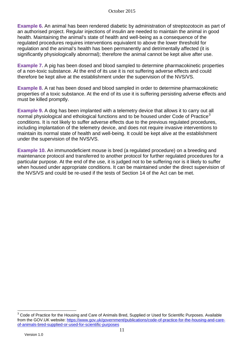**Example 6.** An animal has been rendered diabetic by administration of streptozotocin as part of an authorised project. Regular injections of insulin are needed to maintain the animal in good health. Maintaining the animal's state of health and well-being as a consequence of the regulated procedures requires interventions equivalent to above the lower threshold for regulation and the animal's health has been permanently and detrimentally affected (it is significantly physiologically abnormal); therefore the animal cannot be kept alive after use.

**Example 7.** A pig has been dosed and blood sampled to determine pharmacokinetic properties of a non-toxic substance. At the end of its use it is not suffering adverse effects and could therefore be kept alive at the establishment under the supervision of the NVS/VS.

**Example 8.** A rat has been dosed and blood sampled in order to determine pharmacokinetic properties of a toxic substance. At the end of its use it is suffering persisting adverse effects and must be killed promptly.

**Example 9.** A dog has been implanted with a telemetry device that allows it to carry out all normal physiological and ethological functions and to be housed under Code of Practice<sup>[3](#page-10-0)</sup> conditions. It is not likely to suffer adverse effects due to the previous regulated procedures, including implantation of the telemetry device, and does not require invasive interventions to maintain its normal state of health and well-being. It could be kept alive at the establishment under the supervision of the NVS/VS.

**Example 10.** An immunodeficient mouse is bred (a regulated procedure) on a breeding and maintenance protocol and transferred to another protocol for further regulated procedures for a particular purpose. At the end of the use, it is judged not to be suffering nor is it likely to suffer when housed under appropriate conditions. It can be maintained under the direct supervision of the NVS/VS and could be re-used if the tests of Section 14 of the Act can be met.

<span id="page-10-0"></span><sup>&</sup>lt;sup>3</sup> Code of Practice for the Housing and Care of Animals Bred, Supplied or Used for Scientific Purposes. Available from the GOV.UK website: [https://www.gov.uk/government/publications/code-of-practice-for-the-housing-and-care](https://www.gov.uk/government/publications/code-of-practice-for-the-housing-and-care-of-animals-bred-supplied-or-used-for-scientific-purposes)[of-animals-bred-supplied-or-used-for-scientific-purposes](https://www.gov.uk/government/publications/code-of-practice-for-the-housing-and-care-of-animals-bred-supplied-or-used-for-scientific-purposes)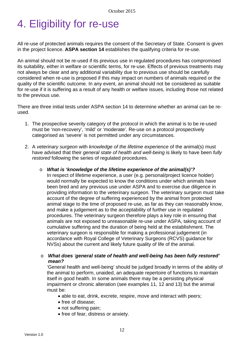# 4. Eligibility for re-use

All re-use of protected animals requires the consent of the Secretary of State. Consent is given in the project licence. **ASPA section 14** establishes the qualifying criteria for re-use.

An animal should not be re-used if its previous use in regulated procedures has compromised its suitability, either in welfare or scientific terms, for re-use. Effects of previous treatments may not always be clear and any additional variability due to previous use should be carefully considered when re-use is proposed if this may impact on numbers of animals required or the quality of the scientific outcome. In any event, an animal should not be considered as suitable for re-use if it is suffering as a result of any health or welfare issues, including those not related to the previous use.

There are three initial tests under ASPA section 14 to determine whether an animal can be reused.

- 1. The prospective severity category of the protocol in which the animal is to be re-used must be 'non-recovery', 'mild' or 'moderate'. Re-use on a protocol prospectively categorised as 'severe' is not permitted under any circumstances.
- 2. A *veterinary surgeon* with *knowledge of the lifetime experience* of the animal(s) must have advised that their *general state of health and well-being* is likely to have been *fully restored* following the series of regulated procedures.
	- o *What is 'knowledge of the lifetime experience of the animal(s)'?* In respect of lifetime experience, a user (e.g. personal/project licence holder) would normally be expected to know the conditions under which animals have been bred and any previous use under ASPA and to exercise due diligence in providing information to the veterinary surgeon. The veterinary surgeon must take account of the degree of suffering experienced by the animal from protected animal stage to the time of proposed re-use, as far as they can reasonably know, and make a judgement as to the acceptability of further use in regulated procedures. The veterinary surgeon therefore plays a key role in ensuring that animals are not exposed to unreasonable re-use under ASPA, taking account of cumulative suffering and the duration of being held at the establishment. The veterinary surgeon is responsible for making a professional judgement (in accordance with Royal College of Veterinary Surgeons (RCVS) guidance for NVSs) about the current and likely future quality of life of the animal.

### o *What does 'general state of health and well-being has been fully restored' mean?*

'General health and well-being' should be judged broadly in terms of the ability of the animal to perform, unaided, an adequate repertoire of functions to maintain itself in good health. In some animals there may be a persisting physical impairment or chronic alteration (see examples 11, 12 and 13) but the animal must be:

- able to eat, drink, excrete, respire, move and interact with peers;
- free of disease;
- not suffering pain:
- free of fear, distress or anxiety.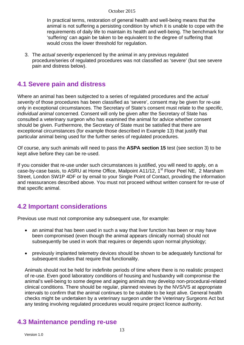In practical terms, restoration of general health and well-being means that the animal is not suffering a persisting condition by which it is unable to cope with the requirements of daily life to maintain its health and well-being. The benchmark for 'suffering' can again be taken to be equivalent to the degree of suffering that would cross the lower threshold for regulation.

3. The *actual severity* experienced by the animal in any previous regulated procedure/series of regulated procedures was not classified as 'severe' (but see severe pain and distress below).

### **4.1 Severe pain and distress**

Where an animal has been subjected to a series of regulated procedures and the *actual severity* of those procedures has been classified as 'severe', consent may be given for re-use only in exceptional circumstances. The Secretary of State's consent must relate to the *specific, individual animal* concerned. Consent will only be given after the Secretary of State has consulted a veterinary surgeon who has examined the animal for advice whether consent should be given. Furthermore, the Secretary of State must be satisfied that there are exceptional circumstances (for example those described in Example 13) that justify that particular animal being used for the further series of regulated procedures.

Of course, any such animals will need to pass the **ASPA section 15** test (see section 3) to be kept alive before they can be re-used.

If you consider that re-use under such circumstances is justified, you will need to apply, on a case-by-case basis, to ASRU at Home Office, Mailpoint A11/12, 1<sup>st</sup> Floor Peel NE, 2 Marsham Street, London SW1P 4DF or by email to your Single Point of Contact, providing the information and reassurances described above. You must not proceed without written consent for re-use of that specific animal.

## **4.2 Important considerations**

Previous use must not compromise any subsequent use, for example:

- an animal that has been used in such a way that liver function has been or may have been compromised (even though the animal appears clinically normal) should not subsequently be used in work that requires or depends upon normal physiology;
- previously implanted telemetry devices should be shown to be adequately functional for subsequent studies that require that functionality.

Animals should not be held for indefinite periods of time where there is no realistic prospect of re-use. Even good laboratory conditions of housing and husbandry will compromise the animal's well-being to some degree and ageing animals may develop non-procedural-related clinical conditions. There should be regular, planned reviews by the NVS/VS at appropriate intervals to confirm that the animal continues to be suitable to be kept alive. General health checks might be undertaken by a veterinary surgeon under the Veterinary Surgeons Act but any testing involving regulated procedures would require project licence authority.

## **4.3 Maintenance pending re-use**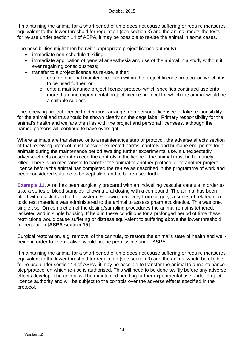If maintaining the animal for a short period of time does not cause suffering or require measures equivalent to the lower threshold for regulation (see section 3) and the animal meets the tests for re-use under section 14 of ASPA, it may be possible to re-use the animal in some cases.

The possibilities might then be (with appropriate project licence authority):

- immediate non-schedule 1 killing;
- immediate application of general anaesthesia and use of the animal in a study without it ever regaining consciousness;
- transfer to a project licence as re-use, either:
	- o onto an optional maintenance step within the project licence protocol on which it is to be used further; or
	- o onto a maintenance project licence protocol which specifies continued use onto more than one experimental project licence protocol for which the animal would be a suitable subject.

The receiving project licence holder must arrange for a personal licensee to take responsibility for the animal and this should be shown clearly on the cage label. Primary responsibility for the animal's health and welfare then lies with the project and personal licensees, although the named persons will continue to have oversight.

Where animals are transferred onto a maintenance step or protocol, the adverse effects section of that receiving protocol must consider expected harms, controls and humane end-points for all animals during the maintenance period awaiting further experimental use. If unexpectedly adverse effects arise that exceed the controls in the licence, the animal must be humanely killed. There is no mechanism to transfer the animal to another protocol or to another project licence before the animal has completed the re-use as described in the programme of work and been considered suitable to be kept alive and to be re-used further.

**Example 11.** A rat has been surgically prepared with an indwelling vascular cannula in order to take a series of blood samples following oral dosing with a compound. The animal has been fitted with a jacket and tether system. Following recovery from surgery, a series of related nontoxic test materials was administered to the animal to assess pharmacokinetics. This was one, single use. On completion of the dosing/sampling procedures the animal remains tethered, jacketed and in single housing. If held in these conditions for a prolonged period of time these restrictions would cause suffering or distress equivalent to suffering above the lower threshold for regulation **[ASPA section 15]**.

Surgical restoration, e.g. removal of the cannula, to restore the animal's state of health and wellbeing in order to keep it alive, would not be permissible under ASPA.

If maintaining the animal for a short period of time does not cause suffering or require measures equivalent to the lower threshold for regulation (see section 3) and the animal would be eligible for re-use under section 14 of ASPA, it may be possible to transfer the animal to a maintenance step/protocol on which re-use is authorised. This will need to be done swiftly before any adverse effects develop. The animal will be maintained pending further experimental use under project licence authority and will be subject to the controls over the adverse effects specified in the protocol.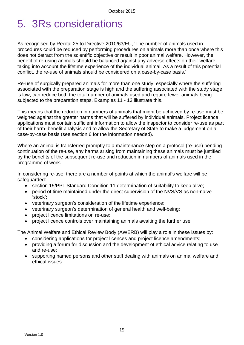# 5. 3Rs considerations

As recognised by Recital 25 to Directive 2010/63/EU, 'The number of animals used in procedures could be reduced by performing procedures on animals more than once where this does not detract from the scientific objective or result in poor animal welfare. However, the benefit of re-using animals should be balanced against any adverse effects on their welfare, taking into account the lifetime experience of the individual animal. As a result of this potential conflict, the re-use of animals should be considered on a case-by-case basis.'

Re-use of surgically prepared animals for more than one study, especially where the suffering associated with the preparation stage is high and the suffering associated with the study stage is low, can reduce both the total number of animals used and require fewer animals being subjected to the preparation steps. Examples 11 - 13 illustrate this.

This means that the reduction in numbers of animals that might be achieved by re-use must be weighed against the greater harms that will be suffered by individual animals. Project licence applications must contain sufficient information to allow the inspector to consider re-use as part of their harm–benefit analysis and to allow the Secretary of State to make a judgement on a case-by-case basis (see section 6 for the information needed).

Where an animal is transferred promptly to a maintenance step on a protocol (re-use) pending continuation of the re-use, any harms arising from maintaining these animals must be justified by the benefits of the subsequent re-use and reduction in numbers of animals used in the programme of work.

In considering re-use, there are a number of points at which the animal's welfare will be safeguarded:

- section 15/PPL Standard Condition 11 determination of suitability to keep alive;
- period of time maintained under the direct supervision of the NVS/VS as non-naive 'stock';
- veterinary surgeon's consideration of the lifetime experience;
- veterinary surgeon's determination of general health and well-being;
- project licence limitations on re-use;
- project licence controls over maintaining animals awaiting the further use.

The Animal Welfare and Ethical Review Body (AWERB) will play a role in these issues by:

- considering applications for project licences and project licence amendments;
- providing a forum for discussion and the development of ethical advice relating to use and re-use;
- supporting named persons and other staff dealing with animals on animal welfare and ethical issues.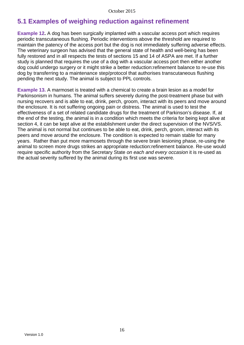## **5.1 Examples of weighing reduction against refinement**

**Example 12.** A dog has been surgically implanted with a vascular access port which requires periodic transcutaneous flushing. Periodic interventions above the threshold are required to maintain the patency of the access port but the dog is not immediately suffering adverse effects. The veterinary surgeon has advised that the general state of health and well-being has been fully restored and in all respects the tests of sections 15 and 14 of ASPA are met. If a further study is planned that requires the use of a dog with a vascular access port then either another dog could undergo surgery or it might strike a better reduction:refinement balance to re-use this dog by transferring to a maintenance step/protocol that authorises transcutaneous flushing pending the next study. The animal is subject to PPL controls.

**Example 13.** A marmoset is treated with a chemical to create a brain lesion as a model for Parkinsonism in humans. The animal suffers severely during the post-treatment phase but with nursing recovers and is able to eat, drink, perch, groom, interact with its peers and move around the enclosure. It is not suffering ongoing pain or distress. The animal is used to test the effectiveness of a set of related candidate drugs for the treatment of Parkinson's disease. If, at the end of the testing, the animal is in a condition which meets the criteria for being kept alive at section 4, it can be kept alive at the establishment under the direct supervision of the NVS/VS. The animal is not normal but continues to be able to eat, drink, perch, groom, interact with its peers and move around the enclosure. The condition is expected to remain stable for many years. Rather than put more marmosets through the severe brain lesioning phase, re-using the animal to screen more drugs strikes an appropriate reduction:refinement balance. Re-use would require specific authority from the Secretary State *on each and every occasion* it is re-used as the actual severity suffered by the animal during its first use was severe.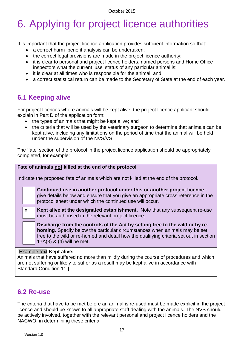# 6. Applying for project licence authorities

It is important that the project licence application provides sufficient information so that:

- a correct harm−benefit analysis can be undertaken;
- the correct legal provisions are made in the project licence authority;
- it is clear to personal and project licence holders, named persons and Home Office inspectors what the current 'use' status of any particular animal is;
- it is clear at all times who is responsible for the animal; and
- a correct statistical return can be made to the Secretary of State at the end of each year.

## **6.1 Keeping alive**

For project licences where animals will be kept alive, the project licence applicant should explain in Part D of the application form:

- the types of animals that might be kept alive; and
- the criteria that will be used by the veterinary surgeon to determine that animals can be kept alive, including any limitations on the period of time that the animal will be held under the supervision of the NVS/VS.

The 'fate' section of the protocol in the project licence application should be appropriately completed, for example:

| Fate of animals not killed at the end of the protocol                                                                                                                                                                  |              |                                                                                                                                                                                                                                                                                          |  |  |
|------------------------------------------------------------------------------------------------------------------------------------------------------------------------------------------------------------------------|--------------|------------------------------------------------------------------------------------------------------------------------------------------------------------------------------------------------------------------------------------------------------------------------------------------|--|--|
|                                                                                                                                                                                                                        |              |                                                                                                                                                                                                                                                                                          |  |  |
| Indicate the proposed fate of animals which are not killed at the end of the protocol.                                                                                                                                 |              |                                                                                                                                                                                                                                                                                          |  |  |
|                                                                                                                                                                                                                        |              | Continued use in another protocol under this or another project licence -<br>give details below and ensure that you give an appropriate cross reference in the<br>protocol sheet under which the continued use will occur.                                                               |  |  |
|                                                                                                                                                                                                                        | $\mathsf{x}$ | <b>Kept alive at the designated establishment.</b> Note that any subsequent re-use<br>must be authorised in the relevant project licence.                                                                                                                                                |  |  |
|                                                                                                                                                                                                                        |              | Discharge from the controls of the Act by setting free to the wild or by re-<br><b>homing.</b> Specify below the particular circumstances when animals may be set<br>free to the wild or re-homed and detail how the qualifying criteria set out in section<br>17A(3) & (4) will be met. |  |  |
| <b>[Example text Kept alive:</b><br>Animals that have suffered no more than mildly during the course of procedures and which<br>are not suffering or likely to suffer as a result may be kept alive in accordance with |              |                                                                                                                                                                                                                                                                                          |  |  |

### Standard Condition 11.]

## **6.2 Re-use**

The criteria that have to be met before an animal is re-used must be made explicit in the project licence and should be known to all appropriate staff dealing with the animals. The NVS should be actively involved, together with the relevant personal and project licence holders and the NACWO, in determining these criteria.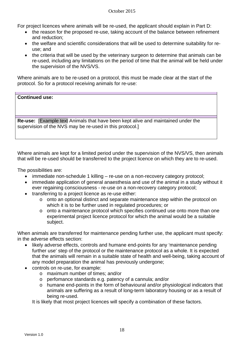For project licences where animals will be re-used, the applicant should explain in Part D:

- the reason for the proposed re-use, taking account of the balance between refinement and reduction;
- the welfare and scientific considerations that will be used to determine suitability for reuse; and
- the criteria that will be used by the veterinary surgeon to determine that animals can be re-used, including any limitations on the period of time that the animal will be held under the supervision of the NVS/VS.

Where animals are to be re-used on a protocol, this must be made clear at the start of the protocol. So for a protocol receiving animals for re-use:

### **Continued use:**

**Re-use:** [Example text Animals that have been kept alive and maintained under the supervision of the NVS may be re-used in this protocol.]

Where animals are kept for a limited period under the supervision of the NVS/VS, then animals that will be re-used should be transferred to the project licence on which they are to re-used.

The possibilities are:

- immediate non-schedule 1 killing re-use on a non-recovery category protocol;
- immediate application of general anaesthesia and use of the animal in a study without it ever regaining consciousness - re-use on a non-recovery category protocol;
- transferring to a project licence as re-use either:
	- o onto an optional distinct and separate maintenance step within the protocol on which it is to be further used in regulated procedures; or
	- o onto a maintenance protocol which specifies continued use onto more than one experimental project licence protocol for which the animal would be a suitable subject.

When animals are transferred for maintenance pending further use, the applicant must specify: in the adverse effects section:

- likely adverse effects, controls and humane end-points for any 'maintenance pending further use' step of the protocol or the maintenance protocol as a whole. It is expected that the animals will remain in a suitable state of health and well-being, taking account of any model preparation the animal has previously undergone;
- controls on re-use, for example:
	- o maximum number of times; and/or
	- o perfomance standards e.g. patency of a cannula; and/or
	- o humane end-points in the form of behavioural and/or physiological indicators that animals are suffering as a result of long-term laboratory housing or as a result of being re-used.

It is likely that most project licences will specify a combination of these factors.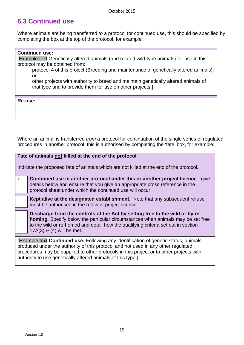## **6.3 Continued use**

Where animals are being transferred *to* a protocol for continued use, this should be specified by completing the box at the top of the protocol, for example:

### **Continued use:**

[Example text Genetically altered animals (and related wild-type animals) for use in this protocol may be obtained from:

protocol 4 of this project (Breeding and maintenance of genetically altered animals); or

other projects with authority to breed and maintain genetically altered animals of that type and to provide them for use on other projects.]

**Re-use:**

Where an animal is transferred *from* a protocol for continuation of the single series of regulated procedures in another protocol, this is authorised by completing the 'fate' box, for example:

## **Fate of animals not killed at the end of the protocol**

Indicate the proposed fate of animals which are not killed at the end of the protocol.

x **Continued use in another protocol under this or another project licence** - give details below and ensure that you give an appropriate cross reference in the protocol sheet under which the continued use will occur.

**Kept alive at the designated establishment.** Note that any subsequent re-use must be authorised in the relevant project licence.

**Discharge from the controls of the Act by setting free to the wild or by rehoming**. Specify below the particular circumstances when animals may be set free to the wild or re-homed and detail how the qualifying criteria set out in section 17A(3) & (4) will be met.

**[**Example text **Continued use:** Following any identification of genetic status, animals produced under the authority of this protocol and not used in any other regulated procedures may be supplied to other protocols in this project or to other projects with authority to use genetically altered animals of this type.]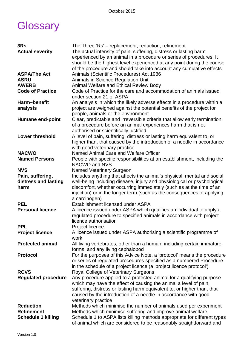# **Glossary**

| 3Rs                        | The Three 'Rs' – replacement, reduction, refinement                                     |
|----------------------------|-----------------------------------------------------------------------------------------|
| <b>Actual severity</b>     | The actual intensity of pain, suffering, distress or lasting harm                       |
|                            | experienced by an animal in a procedure or series of procedures. It                     |
|                            | should be the highest level experienced at any point during the course                  |
|                            | of the procedure and should take into account any cumulative effects                    |
| <b>ASPA/The Act</b>        | Animals (Scientific Procedures) Act 1986                                                |
| <b>ASRU</b>                | <b>Animals in Science Regulation Unit</b>                                               |
| <b>AWERB</b>               | <b>Animal Welfare and Ethical Review Body</b>                                           |
| <b>Code of Practice</b>    | Code of Practice for the care and accommodation of animals issued                       |
|                            | under section 21 of ASPA                                                                |
| Harm-benefit               | An analysis in which the likely adverse effects in a procedure within a                 |
| analysis                   | project are weighed against the potential benefits of the project for                   |
|                            | people, animals or the environment                                                      |
| <b>Humane end-point</b>    | Clear, predictable and irreversible criteria that allow early termination               |
|                            | of a procedure before an animal experiences harm that is not                            |
|                            | authorised or scientifically justified                                                  |
| <b>Lower threshold</b>     | A level of pain, suffering, distress or lasting harm equivalent to, or                  |
|                            | higher than, that caused by the introduction of a needle in accordance                  |
|                            | with good veterinary practice                                                           |
| <b>NACWO</b>               | Named Animal Care and Welfare Officer                                                   |
| <b>Named Persons</b>       | People with specific responsibilities at an establishment, including the                |
|                            | NACWO and NVS                                                                           |
| <b>NVS</b>                 | <b>Named Veterinary Surgeon</b>                                                         |
| Pain, suffering,           | Includes anything that affects the animal's physical, mental and social                 |
| distress and lasting       | well-being including disease, injury and physiological or psychological                 |
| harm                       | discomfort, whether occurring immediately (such as at the time of an                    |
|                            | injection) or in the longer term (such as the consequences of applying<br>a carcinogen) |
| <b>PEL</b>                 | Establishment licensed under ASPA                                                       |
| <b>Personal licence</b>    | A licence issued under ASPA which qualifies an individual to apply a                    |
|                            | regulated procedure to specified animals in accordance with project                     |
|                            | licence authorisation                                                                   |
| <b>PPL</b>                 | Project licence                                                                         |
| <b>Project licence</b>     | A licence issued under ASPA authorising a scientific programme of                       |
|                            | work                                                                                    |
| <b>Protected animal</b>    | All living vertebrates, other than a human, including certain immature                  |
|                            | forms, and any living cephalopod                                                        |
| <b>Protocol</b>            | For the purposes of this Advice Note, a 'protocol' means the procedure                  |
|                            | or series of regulated procedures specified as a numbered Procedure                     |
|                            | in the schedule of a project licence (a 'project licence protocol')                     |
| <b>RCVS</b>                | Royal College of Veterinary Surgeons                                                    |
| <b>Regulated procedure</b> | Any procedure applied to a protected animal for a qualifying purpose                    |
|                            | which may have the effect of causing the animal a level of pain,                        |
|                            | suffering, distress or lasting harm equivalent to, or higher than, that                 |
|                            | caused by the introduction of a needle in accordance with good                          |
|                            | veterinary practice                                                                     |
| <b>Reduction</b>           | Methods which minimise the number of animals used per experiment                        |
| <b>Refinement</b>          | Methods which minimise suffering and improve animal welfare                             |
| <b>Schedule 1 killing</b>  | Schedule 1 to ASPA lists killing methods appropriate for different types                |
|                            | of animal which are considered to be reasonably straightforward and                     |